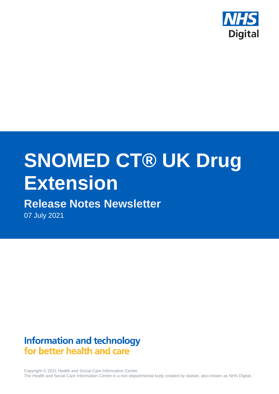

# **SNOMED CT® UK Drug Extension**

# **Release Notes Newsletter**

07 July 2021

## **Information and technology** for better health and care

Copyright © 2021 Health and Social Care Information Centre. The Health and Social Care Information Centre is a non-departmental body created by statute, also known as NHS Digital.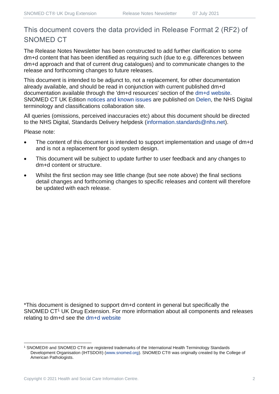## This document covers the data provided in Release Format 2 (RF2) of SNOMED CT

The Release Notes Newsletter has been constructed to add further clarification to some dm+d content that has been identified as requiring such (due to e.g. differences between dm+d approach and that of current drug catalogues) and to communicate changes to the release and forthcoming changes to future releases.

This document is intended to be adjunct to, not a replacement, for other documentation already available, and should be read in conjunction with current published dm+d documentation available through the 'dm+d resources' section of the [dm+d website.](https://www.nhsbsa.nhs.uk/pharmacies-gp-practices-and-appliance-contractors/dictionary-medicines-and-devices-dmd) SNOMED CT UK Edition [notices and known issues](https://hscic.kahootz.com/connect.ti/t_c_home/view?objectId=14224752) are published on [Delen,](https://hscic.kahootz.com/connect.ti/t_c_home) the NHS Digital terminology and classifications collaboration site.

All queries (omissions, perceived inaccuracies etc) about this document should be directed to the NHS Digital, Standards Delivery helpdesk [\(information.standards@nhs.net\)](mailto:information.standards@nhs.net).

Please note:

- The content of this document is intended to support implementation and usage of dm+d and is not a replacement for good system design.
- This document will be subject to update further to user feedback and any changes to dm+d content or structure.
- Whilst the first section may see little change (but see note above) the final sections detail changes and forthcoming changes to specific releases and content will therefore be updated with each release.

\*This document is designed to support dm+d content in general but specifically the SNOMED CT<sup>1</sup> UK Drug Extension. For more information about all components and releases relating to dm+d see the [dm+d website](https://www.nhsbsa.nhs.uk/pharmacies-gp-practices-and-appliance-contractors/dictionary-medicines-and-devices-dmd)

<sup>1</sup> SNOMED® and SNOMED CT® are registered trademarks of the International Health Terminology Standards Development Organisation (IHTSDO®) [\(www.snomed.org\)](http://www.snomed.org/). SNOMED CT® was originally created by the College of American Pathologists.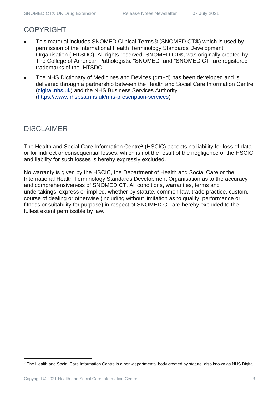### COPYRIGHT

- This material includes SNOMED Clinical Terms® (SNOMED CT®) which is used by permission of the International Health Terminology Standards Development Organisation (IHTSDO). All rights reserved. SNOMED CT®, was originally created by The College of American Pathologists. "SNOMED" and "SNOMED CT" are registered trademarks of the IHTSDO.
- The NHS Dictionary of Medicines and Devices (dm+d) has been developed and is delivered through a partnership between the Health and Social Care Information Centre [\(digital.nhs.uk\)](https://digital.nhs.uk/) and the NHS Business Services Authority [\(https://www.nhsbsa.nhs.uk/nhs-prescription-services\)](https://www.nhsbsa.nhs.uk/nhs-prescription-services)

## DISCLAIMER

The Health and Social Care Information Centre<sup>2</sup> (HSCIC) accepts no liability for loss of data or for indirect or consequential losses, which is not the result of the negligence of the HSCIC and liability for such losses is hereby expressly excluded.

No warranty is given by the HSCIC, the Department of Health and Social Care or the International Health Terminology Standards Development Organisation as to the accuracy and comprehensiveness of SNOMED CT. All conditions, warranties, terms and undertakings, express or implied, whether by statute, common law, trade practice, custom, course of dealing or otherwise (including without limitation as to quality, performance or fitness or suitability for purpose) in respect of SNOMED CT are hereby excluded to the fullest extent permissible by law.

<sup>&</sup>lt;sup>2</sup> The Health and Social Care Information Centre is a non-departmental body created by statute, also known as NHS Digital.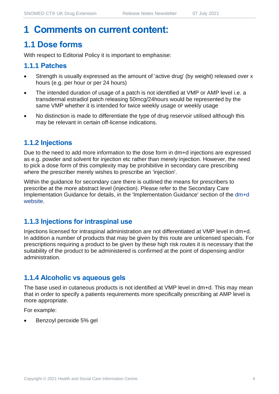## **1 Comments on current content:**

## **1.1 Dose forms**

With respect to Editorial Policy it is important to emphasise:

#### **1.1.1 Patches**

- Strength is usually expressed as the amount of 'active drug' (by weight) released over x hours (e.g. per hour or per 24 hours)
- The intended duration of usage of a patch is not identified at VMP or AMP level i.e. a transdermal estradiol patch releasing 50mcg/24hours would be represented by the same VMP whether it is intended for twice weekly usage or weekly usage
- No distinction is made to differentiate the type of drug reservoir utilised although this may be relevant in certain off-license indications.

#### **1.1.2 Injections**

Due to the need to add more information to the dose form in dm+d injections are expressed as e.g. powder and solvent for injection etc rather than merely injection. However, the need to pick a dose form of this complexity may be prohibitive in secondary care prescribing where the prescriber merely wishes to prescribe an 'injection'.

Within the guidance for secondary care there is outlined the means for prescribers to prescribe at the more abstract level (injection). Please refer to the Secondary Care Implementation Guidance for details, in the 'Implementation Guidance' section of the [dm+d](https://www.nhsbsa.nhs.uk/pharmacies-gp-practices-and-appliance-contractors/dictionary-medicines-and-devices-dmd)  [website.](https://www.nhsbsa.nhs.uk/pharmacies-gp-practices-and-appliance-contractors/dictionary-medicines-and-devices-dmd)

#### **1.1.3 Injections for intraspinal use**

Injections licensed for intraspinal administration are not differentiated at VMP level in dm+d. In addition a number of products that may be given by this route are unlicensed specials. For prescriptions requiring a product to be given by these high risk routes it is necessary that the suitability of the product to be administered is confirmed at the point of dispensing and/or administration.

#### **1.1.4 Alcoholic vs aqueous gels**

The base used in cutaneous products is not identified at VMP level in dm+d. This may mean that in order to specify a patients requirements more specifically prescribing at AMP level is more appropriate.

For example:

• Benzoyl peroxide 5% gel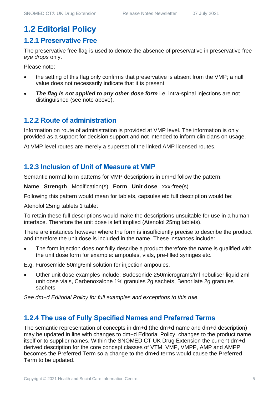## **1.2 Editorial Policy**

#### **1.2.1 Preservative Free**

The preservative free flag is used to denote the absence of preservative in preservative free *eye drops* only.

Please note:

- the setting of this flag only confirms that preservative is absent from the VMP; a null value does not necessarily indicate that it is present
- **The flag is not applied to any other dose form** i.e. intra-spinal injections are not distinguished (see note above).

#### **1.2.2 Route of administration**

Information on route of administration is provided at VMP level. The information is only provided as a support for decision support and not intended to inform clinicians on usage.

At VMP level routes are merely a superset of the linked AMP licensed routes.

#### **1.2.3 Inclusion of Unit of Measure at VMP**

Semantic normal form patterns for VMP descriptions in dm+d follow the pattern:

**Name Strength** Modification(s) **Form Unit dose** xxx-free(s)

Following this pattern would mean for tablets, capsules etc full description would be:

Atenolol 25mg tablets 1 tablet

To retain these full descriptions would make the descriptions unsuitable for use in a human interface. Therefore the unit dose is left implied (Atenolol 25mg tablets).

There are instances however where the form is insufficiently precise to describe the product and therefore the unit dose is included in the name. These instances include:

The form injection does not fully describe a product therefore the name is qualified with the unit dose form for example: ampoules, vials, pre-filled syringes etc.

E.g. Furosemide 50mg/5ml solution for injection ampoules.

• Other unit dose examples include: Budesonide 250micrograms/ml nebuliser liquid 2ml unit dose vials, Carbenoxalone 1% granules 2g sachets, Benorilate 2g granules sachets.

*See dm+d Editorial Policy for full examples and exceptions to this rule.*

#### **1.2.4 The use of Fully Specified Names and Preferred Terms**

The semantic representation of concepts in dm+d (the dm+d name and dm+d description) may be updated in line with changes to dm+d Editorial Policy, changes to the product name itself or to supplier names. Within the SNOMED CT UK Drug Extension the current dm+d derived description for the core concept classes of VTM, VMP, VMPP, AMP and AMPP becomes the Preferred Term so a change to the dm+d terms would cause the Preferred Term to be updated.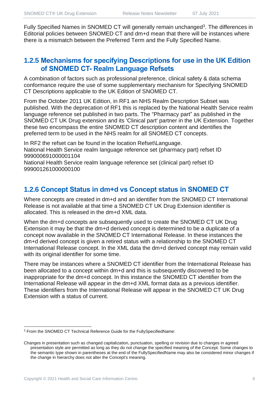Fully Specified Names in SNOMED CT will generally remain unchanged<sup>3</sup>. The differences in Editorial policies between SNOMED CT and dm+d mean that there will be instances where there is a mismatch between the Preferred Term and the Fully Specified Name.

#### **1.2.5 Mechanisms for specifying Descriptions for use in the UK Edition of SNOMED CT- Realm Language Refsets**

A combination of factors such as professional preference, clinical safety & data schema conformance require the use of some supplementary mechanism for Specifying SNOMED CT Descriptions applicable to the UK Edition of SNOMED CT.

From the October 2011 UK Edition, in RF1 an NHS Realm Description Subset was published. With the deprecation of RF1 this is replaced by the National Health Service realm language reference set published in two parts. The "Pharmacy part" as published in the SNOMED CT UK Drug extension and its 'Clinical part' partner in the UK Extension. Together these two encompass the entire SNOMED CT description content and identifies the preferred term to be used in the NHS realm for all SNOMED CT concepts.

In RF2 the refset can be found in the location Refset\Language. National Health Service realm language reference set (pharmacy part) refset ID 999000691000001104

National Health Service realm language reference set (clinical part) refset ID 999001261000000100

#### **1.2.6 Concept Status in dm+d vs Concept status in SNOMED CT**

Where concepts are created in dm+d and an identifier from the SNOMED CT International Release is not available at that time a SNOMED CT UK Drug Extension identifier is allocated. This is released in the dm+d XML data.

When the dm+d concepts are subsequently used to create the SNOMED CT UK Drug Extension it may be that the dm+d derived concept is determined to be a duplicate of a concept now available in the SNOMED CT International Release. In these instances the dm+d derived concept is given a retired status with a relationship to the SNOMED CT International Release concept. In the XML data the dm+d derived concept may remain valid with its original identifier for some time.

There may be instances where a SNOMED CT identifier from the International Release has been allocated to a concept within dm+d and this is subsequently discovered to be inappropriate for the dm+d concept. In this instance the SNOMED CT identifier from the International Release will appear in the dm+d XML format data as a previous identifier. These identifiers from the International Release will appear in the SNOMED CT UK Drug Extension with a status of current.

<sup>3</sup> From the SNOMED CT Technical Reference Guide for the FullySpecifiedName:

Changes in presentation such as changed capitalization, punctuation, spelling or revision due to changes in agreed presentation style are permitted as long as they do not change the specified meaning of the Concept. Some changes to the semantic type shown in parentheses at the end of the FullySpecifiedName may also be considered minor changes if the change in hierarchy does not alter the Concept's meaning.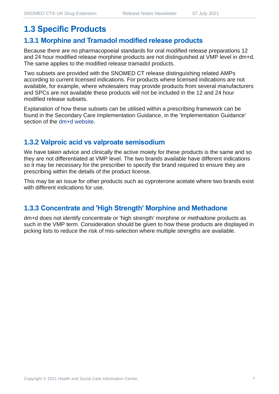## **1.3 Specific Products**

#### **1.3.1 Morphine and Tramadol modified release products**

Because there are no pharmacopoeial standards for oral modified release preparations 12 and 24 hour modified release morphine products are not distinguished at VMP level in dm+d. The same applies to the modified release tramadol products.

Two subsets are provided with the SNOMED CT release distinguishing related AMPs according to current licensed indications. For products where licensed indications are not available, for example, where wholesalers may provide products from several manufacturers and SPCs are not available these products will not be included in the 12 and 24 hour modified release subsets.

Explanation of how these subsets can be utilised within a prescribing framework can be found in the Secondary Care Implementation Guidance, in the 'Implementation Guidance' section of the [dm+d website.](https://www.nhsbsa.nhs.uk/pharmacies-gp-practices-and-appliance-contractors/dictionary-medicines-and-devices-dmd)

#### **1.3.2 Valproic acid vs valproate semisodium**

We have taken advice and clinically the active moiety for these products is the same and so they are not differentiated at VMP level. The two brands available have different indications so it may be necessary for the prescriber to specify the brand required to ensure they are prescribing within the details of the product license.

This may be an issue for other products such as cyproterone acetate where two brands exist with different indications for use.

#### **1.3.3 Concentrate and 'High Strength' Morphine and Methadone**

dm+d does not identify concentrate or 'high strength' morphine or methadone products as such in the VMP term. Consideration should be given to how these products are displayed in picking lists to reduce the risk of mis-selection where multiple strengths are available.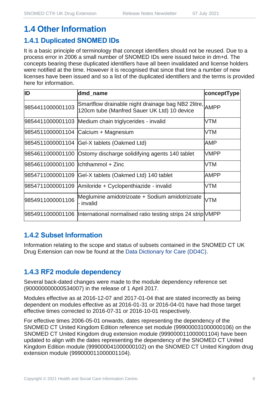## **1.4 Other Information**

#### **1.4.1 Duplicated SNOMED IDs**

It is a basic principle of terminology that concept identifiers should not be reused. Due to a process error in 2006 a small number of SNOMED IDs were issued twice in dm+d. The concepts bearing these duplicated identifiers have all been invalidated and license holders were notified at the time. However it is recognised that since that time a number of new licenses have been issued and so a list of the duplicated identifiers and the terms is provided here for information.

| ID                                  | dmd_name                                                                                               | conceptType |
|-------------------------------------|--------------------------------------------------------------------------------------------------------|-------------|
| 9854411000001103                    | Smartflow drainable night drainage bag NB2 2litre, AMPP<br>120cm tube (Manfred Sauer UK Ltd) 10 device |             |
|                                     | 9854411000001103 Medium chain triglycerides - invalid                                                  | <b>VTM</b>  |
|                                     | 9854511000001104 Calcium + Magnesium                                                                   | <b>VTM</b>  |
|                                     | 9854511000001104 Gel-X tablets (Oakmed Ltd)                                                            | AMP         |
|                                     | 9854611000001100 Ostomy discharge solidifying agents 140 tablet                                        | <b>VMPP</b> |
| 9854611000001100  lchthammol + Zinc |                                                                                                        | <b>VTM</b>  |
| 9854711000001109                    | Gel-X tablets (Oakmed Ltd) 140 tablet                                                                  | <b>AMPP</b> |
|                                     | 9854711000001109 Amiloride + Cyclopenthiazide - invalid                                                | <b>VTM</b>  |
| 9854911000001106                    | Meglumine amidotrizoate + Sodium amidotrizoate<br>- invalid                                            | <b>VTM</b>  |
|                                     | 9854911000001106  International normalised ratio testing strips 24 strip VMPP                          |             |

#### **1.4.2 Subset Information**

Information relating to the scope and status of subsets contained in the SNOMED CT UK Drug Extension can now be found at the [Data Dictionary for Care \(DD4C\).](https://dd4c.digital.nhs.uk/dd4c/)

#### **1.4.3 RF2 module dependency**

Several back-dated changes were made to the module dependency reference set (900000000000534007) in the release of 1 April 2017.

Modules effective as at 2016-12-07 and 2017-01-04 that are stated incorrectly as being dependent on modules effective as at 2016-01-31 or 2016-04-01 have had those target effective times corrected to 2016-07-31 or 2016-10-01 respectively.

For effective times 2006-05-01 onwards, dates representing the dependency of the SNOMED CT United Kingdom Edition reference set module (999000031000000106) on the SNOMED CT United Kingdom drug extension module (999000011000001104) have been updated to align with the dates representing the dependency of the SNOMED CT United Kingdom Edition module (999000041000000102) on the SNOMED CT United Kingdom drug extension module (999000011000001104).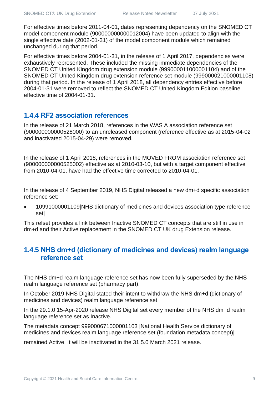For effective times before 2011-04-01, dates representing dependency on the SNOMED CT model component module (900000000000012004) have been updated to align with the single effective date (2002-01-31) of the model component module which remained unchanged during that period.

For effective times before 2004-01-31, in the release of 1 April 2017, dependencies were exhaustively represented. These included the missing immediate dependencies of the SNOMED CT United Kingdom drug extension module (999000011000001104) and of the SNOMED CT United Kingdom drug extension reference set module (999000021000001108) during that period. In the release of 1 April 2018, all dependency entries effective before 2004-01-31 were removed to reflect the SNOMED CT United Kingdom Edition baseline effective time of 2004-01-31.

#### **1.4.4 RF2 association references**

In the release of 21 March 2018, references in the WAS A association reference set (900000000000528000) to an unreleased component (reference effective as at 2015-04-02 and inactivated 2015-04-29) were removed.

In the release of 1 April 2018, references in the MOVED FROM association reference set (900000000000525002) effective as at 2010-03-10, but with a target component effective from 2010-04-01, have had the effective time corrected to 2010-04-01.

In the release of 4 September 2019, NHS Digital released a new dm+d specific association reference set:

• 10991000001109|NHS dictionary of medicines and devices association type reference set|

This refset provides a link between Inactive SNOMED CT concepts that are still in use in dm+d and their Active replacement in the SNOMED CT UK drug Extension release.

#### **1.4.5 NHS dm+d (dictionary of medicines and devices) realm language reference set**

The NHS dm+d realm language reference set has now been fully superseded by the NHS realm language reference set (pharmacy part).

In October 2019 NHS Digital stated their intent to withdraw the NHS dm+d (dictionary of medicines and devices) realm language reference set.

In the 29.1.0 15-Apr-2020 release NHS Digital set every member of the NHS dm+d realm language reference set as Inactive.

The metadata concept 999000671000001103 |National Health Service dictionary of medicines and devices realm language reference set (foundation metadata concept)|

remained Active. It will be inactivated in the 31.5.0 March 2021 release.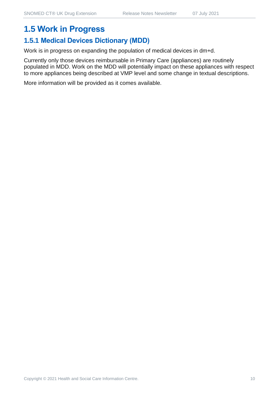# **1.5.1 Medical Devices Dictionary (MDD)**

Work is in progress on expanding the population of medical devices in dm+d.

Currently only those devices reimbursable in Primary Care (appliances) are routinely populated in MDD. Work on the MDD will potentially impact on these appliances with respect to more appliances being described at VMP level and some change in textual descriptions.

More information will be provided as it comes available.